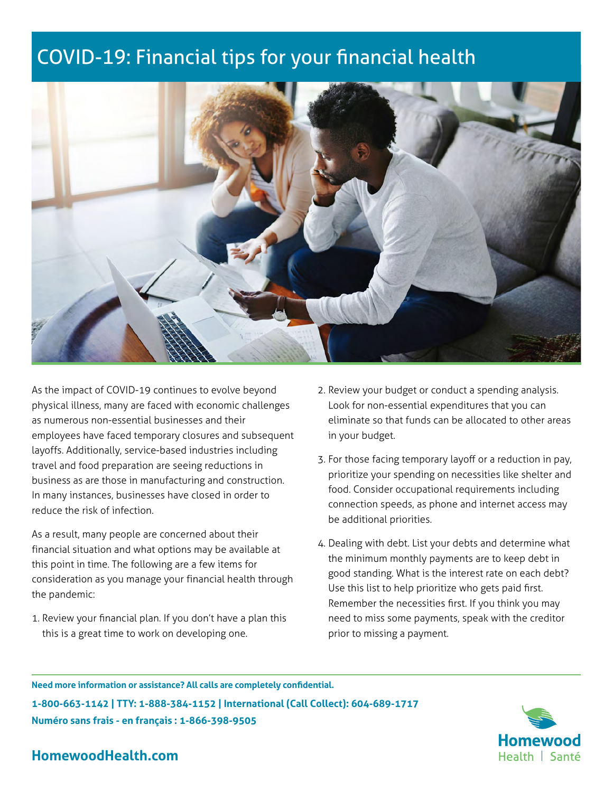## COVID-19: Financial tips for your financial health



As the impact of COVID-19 continues to evolve beyond physical illness, many are faced with economic challenges as numerous non-essential businesses and their employees have faced temporary closures and subsequent layoffs. Additionally, service-based industries including travel and food preparation are seeing reductions in business as are those in manufacturing and construction. In many instances, businesses have closed in order to reduce the risk of infection.

As a result, many people are concerned about their financial situation and what options may be available at this point in time. The following are a few items for consideration as you manage your financial health through the pandemic:

1. Review your financial plan. If you don't have a plan this this is a great time to work on developing one.

- 2. Review your budget or conduct a spending analysis. Look for non-essential expenditures that you can eliminate so that funds can be allocated to other areas in your budget.
- 3. For those facing temporary layoff or a reduction in pay, prioritize your spending on necessities like shelter and food. Consider occupational requirements including connection speeds, as phone and internet access may be additional priorities.
- 4. Dealing with debt. List your debts and determine what the minimum monthly payments are to keep debt in good standing. What is the interest rate on each debt? Use this list to help prioritize who gets paid first. Remember the necessities first. If you think you may need to miss some payments, speak with the creditor prior to missing a payment.

**Need more information or assistance? All calls are completely confidential. 1-800-663-1142 | TTY: 1-888-384-1152 | International (Call Collect): 604-689-1717 Numéro sans frais - en français : 1-866-398-9505**



## **HomewoodHealth.com**